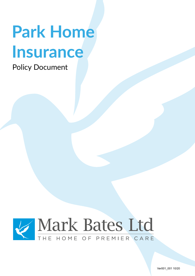# **Park Home Insurance**

Policy Document



Ver001\_001 10/20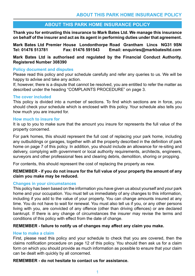### **ABOUT THIS PARK HOME INSURANCE POLICY**

**Thank you for entrusting this insurance to Mark Bates Ltd. We manage this insurance on behalf of the insurer and act as its agent in performing duties under that agreement.**

**Mark Bates Ltd Premier House Londonthorpe Road Grantham Lincs NG31 9SN Tel: 01476 513781 Fax: 01476 591543 Email: enquiries@markbatesltd.com**

**Mark Bates Ltd is authorised and regulated by the Financial Conduct Authority. Registered Number 308390**

### **Policy document and disputes**

Please read this policy and your schedule carefully and refer any queries to us. We will be happy to advise and take any action.

If, however, there is a dispute that cannot be resolved, you are entitled to refer the matter as described under the heading "COMPLAINTS PROCEDURE" on page 3.

### **The cover included**

This policy is divided into a number of sections. To find which sections are in force, you should check your schedule which is enclosed with this policy. Your schedule also tells you how much you are insured for.

### **How much to insure for**

It is up to you to make sure that the amount you insure for represents the full value of the property concerned.

For park homes, this should represent the full cost of replacing your park home, including any outbuildings or garages, together with all the property described in the definition of park home on page 7 of this policy. In addition, you should include an allowance for re-siting and delivery, complying with government or local authority requirements, architects, engineers, surveyors and other professional fees and clearing debris, demolition, shoring or propping.

For contents, this should represent the cost of replacing the property as new.

### **REMEMBER - if you do not insure for the full value of your property the amount of any claim you make may be reduced.**

### **Changes in your circumstances**

This policy has been based on the information you have given us about yourself and your park home and your occupation. You must tell us immediately of any changes to this information, including if you add to the value of your property. You can change amounts insured at any time. You do not have to wait for renewal. You must also tell us if you, or any other persons living with you, are convicted of any offence (other than driving offences) or are declared bankrupt. If there is any change of circumstances the insurer may revise the terms and conditions of this policy with effect from the date of change.

### **REMEMBER - failure to notify us of changes may affect any claim you make.**

### **How to make a claim**

First, please read this policy and your schedule to check that you are covered, then the claims notification procedure on page 12 of this policy. You should then ask us for a claim form on which you should provide as much information as possible to ensure that your claim can be dealt with quickly by all concerned.

### **REMEMBER - do not hesitate to contact us for assistance.**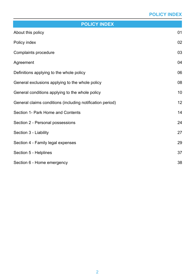### **POLICY INDEX**

| <b>POLICY INDEX</b>                                       |    |  |
|-----------------------------------------------------------|----|--|
| About this policy                                         | 01 |  |
| Policy index                                              | 02 |  |
| Complaints procedure                                      | 03 |  |
| Agreement                                                 | 04 |  |
| Definitions applying to the whole policy                  | 06 |  |
| General exclusions applying to the whole policy           | 08 |  |
| General conditions applying to the whole policy           | 10 |  |
| General claims conditions (including notification period) | 12 |  |
| Section 1- Park Home and Contents                         | 14 |  |
| Section 2 - Personal possessions                          | 24 |  |
| Section 3 - Liability                                     | 27 |  |
| Section 4 - Family legal expenses                         | 29 |  |
| Section 5 - Helplines                                     | 37 |  |
| Section 6 - Home emergency                                | 38 |  |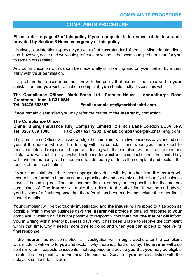### **COMPLAINTS PROCEDURE**

### **Please refer to page 42 of this policy if your complaint is in respect of the insurance provided by Section 6 Home emergency of this policy.**

It is always our intention to provide **you** with a first class standard of service. Misunderstandings can, however, occur and we would prefer to know about the occasional problem than for **you**  to remain dissatisfied.

Any communication with us can be made orally or in writing and on **your** behalf by a third party with **your** permission.

If a problem has arisen in connection with this policy that has not been resolved to **your** satisfaction and **you** wish to make a complaint, **you** should firstly discuss this with

### **The Compliance Officer Mark Bates Ltd Premier House Londonthorpe Road Grantham Lincs NG31 9SN**  Email: complaints@markbatesltd.com

If **you** remain dissatisfied **you** may refer the matter to **the insurer** by contacting

### **The Compliance Officer**

### **China Taiping Insurance (UK) Company Limited 2 Finch Lane London EC3V 3NA** Fax: 0207 621 1202 E-mail: compliance@uk.cntaiping.com

The Compliance Officer will acknowledge the complaint within five business days and advise **you** of the person who will be dealing with the complaint and when **you** can expect to receive a detailed response. The person dealing with the complaint will be a senior member of staff who was not directly involved in the matter which is the subject of the complaint. They will have the authority and experience to adequately address the complaint and explain the results of the investigation.

If **your** complaint should be more appropriately dealt with by another firm, **the insurer** will ensure it is referred to them as soon as practicable and certainly no later than five business days of becoming satisfied that another firm is or may be responsible for the matters complained of. **The insurer** will make this referral to the other firm in writing and advise **you** by way of a final response that the referral has been made and include the other firm's contact details.

**Your** complaint will be thoroughly investigated and **the insurer** will respond to it as soon as possible. Within twenty business days **the insurer** will provide a detailed response to **your**  complaint in writing or, if it is not possible to respond within that time, **the insurer** will inform **you** in writing within twenty business days why it has been unable to resolve the complaint within that time, why it needs more time to do so and when **you** can expect to receive its final response.

If **the insurer** has not completed its investigation within eight weeks after the complaint was made, it will write to **you** and explain why there is a further delay. **The insurer** will also confirm when it expects to issue its final response and advise **you** that **you** may be eligible to refer the complaint to the Financial Ombudsman Service if **you** are dissatisfied with the delay. Its contact details are: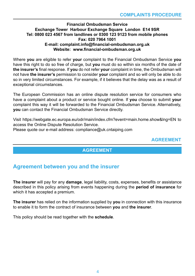### **Financial Ombudsman Service Exchange Tower Harbour Exchange Square London E14 9SR Tel: 0800 023 4567 from landlines or 0300 123 9123 from mobile phones Fax: 020 7964 1001 E-mail: complaint.info@financial-ombudsman.org.uk Website: www.financial-ombudsman.org.uk**

Where **you** are eligible to refer **your** complaint to the Financial Ombudsman Service **you**  have this right to do so free of charge, but **you** must do so within six months of the date of **the insurer's** final response. If **you** do not refer **your** complaint in time, the Ombudsman will not have **the insurer's** permission to consider **your** complaint and so will only be able to do so in very limited circumstances. For example, if it believes that the delay was as a result of exceptional circumstances.

The European Commission has an online dispute resolution service for consumers who have a complaint about a product or service bought online. If **you** choose to submit **your**  complaint this way it will be forwarded to the Financial Ombudsman Service. Alternatively, **you** can contact the Financial Ombudsman Service directly.

Visit https://webgate.ec.europa.eu/odr/main/index.cfm?event=main.home.show&lng=EN to access the Online Dispute Resolution Service. Please quote our e-mail address: compliance@uk.cntaiping.com

### **AGREEMENT**

### **AGREEMENT**

### **Agreement between you and the insurer**

**The insurer** will pay for any **damage**, legal liability, costs, expenses, benefits or assistance described in this policy arising from events happening during the **period of insurance** for which it has accepted a premium.

**The insurer** has relied on the information supplied by **you** in connection with this insurance to enable it to form the contract of insurance between **you** and **the insurer**.

This policy should be read together with the **schedule**.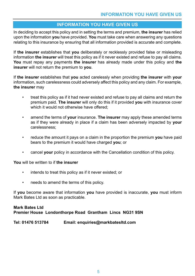### **INFORMATION YOU HAVE GIVEN US**

In deciding to accept this policy and in setting the terms and premium, **the insurer** has relied upon the information **you** have provided. **You** must take care when answering any questions relating to this insurance by ensuring that all information provided is accurate and complete.

If **the insurer** establishes that **you** deliberately or recklessly provided false or misleading information **the insurer** will treat this policy as if it never existed and refuse to pay all claims. **You** must repay any payments **the insurer** has already made under this policy and **the insurer** will not return the premium to **you**.

If **the insurer** establishes that **you** acted carelessly when providing **the insurer** with **your** information, such carelessness could adversely affect this policy and any claim. For example, **the insurer** may

- treat this policy as if it had never existed and refuse to pay all claims and return the premium paid. **The insurer** will only do this if it provided **you** with insurance cover which it would not otherwise have offered;
- amend the terms of **your** insurance. **The insurer** may apply these amended terms as if they were already in place if a claim has been adversely impacted by **your** carelessness;
- reduce the amount it pays on a claim in the proportion the premium **you** have paid bears to the premium it would have charged **you**; or
- cancel **your** policy in accordance with the Cancellation condition of this policy.

**You** will be written to if **the insurer**

- intends to treat this policy as if it never existed; or
- needs to amend the terms of this policy.

If **you** become aware that information **you** have provided is inaccurate, **you** must inform Mark Bates Ltd as soon as practicable.

### **Mark Bates Ltd Premier House Londonthorpe Road Grantham Lincs NG31 9SN**

### **Tel: 01476 513784 Email: enquiries@markbatesltd.com**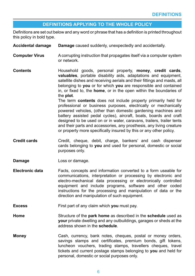### **DEFINITIONS APPLYING TO THE WHOLE POLICY**

Definitions are set out below and any word or phrase that has a definition is printed throughout this policy in bold type.

| <b>Accidental damage</b> | Damage caused suddenly, unexpectedly and accidentally.                                                                                                                                                                                                                                                                                                                                                                                                                                                                                                                                                                                                                                                                                                                                                                                                                         |
|--------------------------|--------------------------------------------------------------------------------------------------------------------------------------------------------------------------------------------------------------------------------------------------------------------------------------------------------------------------------------------------------------------------------------------------------------------------------------------------------------------------------------------------------------------------------------------------------------------------------------------------------------------------------------------------------------------------------------------------------------------------------------------------------------------------------------------------------------------------------------------------------------------------------|
| <b>Computer Virus</b>    | A corrupting instruction that propagates itself via a computer system<br>or network.                                                                                                                                                                                                                                                                                                                                                                                                                                                                                                                                                                                                                                                                                                                                                                                           |
| <b>Contents</b>          | Household goods, personal property, money, credit cards,<br><b>valuables</b> , portable disability aids, adaptations and equipment,<br>satellite dishes and receiving aerials and their fittings and masts, all<br>belonging to you or for which you are responsible and contained<br>in, or fixed to, the home, or in the open within the boundaries of<br>the plot.<br>The term <b>contents</b> does not include property primarily held for<br>professional or business purposes, electrically or mechanically<br>powered vehicles, (other than domestic gardening machines and<br>battery assisted pedal cycles), aircraft, boats, boards and craft<br>designed to be used on or in water, caravans, trailers, trailer tents<br>and their parts and accessories, any prosthesis, any living creature<br>or property more specifically insured by this or any other policy. |
| <b>Credit cards</b>      | Credit, cheque, debit, charge, bankers' and cash dispenser<br>cards belonging to you and used for personal, domestic or social<br>purposes only.                                                                                                                                                                                                                                                                                                                                                                                                                                                                                                                                                                                                                                                                                                                               |
| Damage                   | Loss or damage.                                                                                                                                                                                                                                                                                                                                                                                                                                                                                                                                                                                                                                                                                                                                                                                                                                                                |
| <b>Electronic data</b>   | Facts, concepts and information converted to a form useable for<br>communications, interpretation or processing by electronic and<br>electro-mechanical data processing or electronically controlled<br>equipment and include programs, software and other coded<br>instructions for the processing and manipulation of data or the                                                                                                                                                                                                                                                                                                                                                                                                                                                                                                                                            |

**Excess** First part of any claim which **you** must pay.

**Home** Structure of the **park home** as described in the **schedule** used as **your** private dwelling and any outbuildings, garages or sheds at the address shown in the **schedule**.

direction and manipulation of such equipment.

**Money** Cash, currency, bank notes, cheques, postal or money orders, savings stamps and certificates, premium bonds, gift tokens, luncheon vouchers, trading stamps, travellers cheques, travel tickets and current postage stamps belonging to **you** and held for personal, domestic or social purposes only.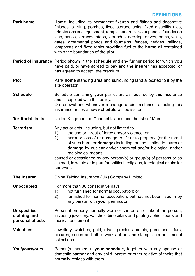| Park home                                              | <b>Home,</b> including its permanent fixtures and fittings and decorative<br>finishes, skirting, porches, fixed storage units, fixed disability aids,<br>adaptations and equipment, ramps, handrails, solar panels, foundation<br>slab, patios, terraces, steps, verandas, decking, drives, paths, walls,<br>gates, ornamental ponds and fountains, fences, hedges, railings,<br>lampposts and fixed tanks providing fuel to the home all contained<br>within the boundaries of the plot.                  |
|--------------------------------------------------------|------------------------------------------------------------------------------------------------------------------------------------------------------------------------------------------------------------------------------------------------------------------------------------------------------------------------------------------------------------------------------------------------------------------------------------------------------------------------------------------------------------|
|                                                        | Period of insurance Period shown in the schedule and any further period for which you<br>have paid, or have agreed to pay and the insurer has accepted, or<br>has agreed to accept, the premium.                                                                                                                                                                                                                                                                                                           |
| <b>Plot</b>                                            | Park home standing area and surrounding land allocated to it by the<br>site operator.                                                                                                                                                                                                                                                                                                                                                                                                                      |
| <b>Schedule</b>                                        | Schedule containing your particulars as required by this insurance<br>and is supplied with this policy.<br>On renewal and whenever a change of circumstances affecting this<br>insurance arises a new schedule will be issued.                                                                                                                                                                                                                                                                             |
| <b>Territorial limits</b>                              | United Kingdom, the Channel Islands and the Isle of Man.                                                                                                                                                                                                                                                                                                                                                                                                                                                   |
| <b>Terrorism</b>                                       | Any act or acts, including, but not limited to<br>the use or threat of force and/or violence; or<br>1)<br>2)<br>harm or loss of or damage to life or to property, (or the threat<br>of such harm or damage) including, but not limited to, harm or<br>damage by nuclear and/or chemical and/or biological and/or<br>radiological means<br>caused or occasioned by any person(s) or group(s) of persons or so<br>claimed, in whole or in part for political, religious, ideological or similar<br>purposes. |
| The insurer                                            | China Taiping Insurance (UK) Company Limited.                                                                                                                                                                                                                                                                                                                                                                                                                                                              |
| <b>Unoccupied</b>                                      | For more than 30 consecutive days<br>not furnished for normal occupation; or<br>1)<br>furnished for normal occupation, but has not been lived in by<br>2)<br>any person with your permission.                                                                                                                                                                                                                                                                                                              |
| <b>Unspecified</b><br>clothing and<br>personal effects | Personal property normally worn or carried on or about the person,<br>including jewellery, watches, binoculars and photographic, sports and<br>musical equipment.                                                                                                                                                                                                                                                                                                                                          |
| <b>Valuables</b>                                       | Jewellery, watches, gold, silver, precious metals, gemstones, furs,<br>pictures, curios and other works of art and stamp, coin and medal<br>collections.                                                                                                                                                                                                                                                                                                                                                   |
| You/your/yours                                         | Person(s) named in your schedule, together with any spouse or<br>domestic partner and any child, parent or other relative of theirs that<br>normally resides with them.                                                                                                                                                                                                                                                                                                                                    |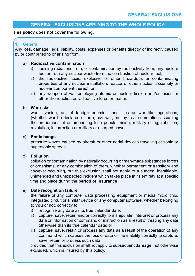### **GENERAL EXCLUSIONS APPLYING TO THE WHOLE POLICY**

### **This policy does not cover the following.**

### **1) General**

Any loss, damage, legal liability, costs, expenses or benefits directly or indirectly caused by or contributed to or arising from

### a) **Radioactive contamination**

- i) ionising radiations from, or contamination by radioactivity from, any nuclear fuel or from any nuclear waste from the combustion of nuclear fuel;
- ii) the radioactive, toxic, explosive or other hazardous or contaminating properties of any nuclear installation, reactor or other nuclear assembly or nuclear component thereof; or
- iii) any weapon of war employing atomic or nuclear fission and/or fusion or other like reaction or radioactive force or matter.

### b) **War risks**

war, invasion, act of foreign enemies, hostilities or war like operations, (whether war be declared or not), civil war, mutiny, civil commotion assuming the proportions of or amounting to a popular rising, military rising, rebellion, revolution, insurrection or military or usurped power.

### c) **Sonic bangs**

pressure waves caused by aircraft or other aerial devices travelling at sonic or supersonic speeds.

### d) **Pollution**

pollution or contamination by naturally occurring or man-made substances forces or organisms, or any combination of them, whether permanent or transitory and however occurring, but this exclusion shall not apply to a sudden, identifiable, unintended and unexpected incident which takes place in its entirety at a specific time and place during the **period of insurance**.

### e) **Date recognition failure**

the failure of any computer data processing equipment or media micro chip, integrated circuit or similar device or any computer software, whether belonging to **you** or not, correctly to

- i) recognise any date as its true calendar date;
- ii) capture, save, retain and/or correctly to manipulate, interpret or process any data or information or command or instruction as a result of treating any date otherwise than its true calendar date; or
- iii) capture, save, retain or process any data as a result of the operation of any command which causes the loss of data or the inability correctly to capture, save, retain or process such data

provided that this exclusion shall not apply to subsequent **damage**, not otherwise excluded, which is insured by this policy.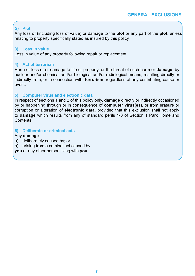### **2) Plot**

Any loss of (including loss of value) or damage to the **plot** or any part of the **plot**, unless relating to property specifically stated as insured by this policy.

### **3) Loss in value**

Loss in value of any property following repair or replacement.

### **4) Act of terrorism**

Harm or loss of or damage to life or property, or the threat of such harm or **damage**, by nuclear and/or chemical and/or biological and/or radiological means, resulting directly or indirectly from, or in connection with, **terrorism**, regardless of any contributing cause or event.

### **5) Computer virus and electronic data**

In respect of sections 1 and 2 of this policy only, **damage** directly or indirectly occasioned by or happening through or in consequence of **computer virus(es)**, or from erasure or corruption or alteration of **electronic data**, provided that this exclusion shall not apply to **damage** which results from any of standard perils 1-8 of Section 1 Park Home and Contents.

### **6) Deliberate or criminal acts**

### Any **damage**

- a) deliberately caused by; or
- b) arising from a criminal act caused by

**you** or any other person living with **you**.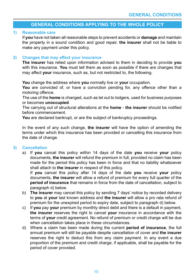### **GENERAL CONDITIONS APPLYING TO THE WHOLE POLICY**

### **1) Reasonable care**

If **you** have not taken all reasonable steps to prevent accidents or **damage** and maintain the property in a sound condition and good repair, **the insurer** shall not be liable to make any payment under this policy.

### **2) Changes that may affect your insurance**

**The insurer** has relied upon information advised to them in deciding to provide **you** with this insurance. **You** must tell them as soon as possible if there are changes that may affect **your** insurance, such as, but not restricted to, the following.

**You** change the address where **you** normally live or **your** occupation.

**You** are convicted of, or have a conviction pending for, any offence other than a motoring offence.

The use of the **home** is changed, such as let out to lodgers, used for business purposes or becomes **unoccupied**.

The carrying out of structural alterations at the **home** - **the insurer** should be notified before commencement.

**You** are declared bankrupt, or are the subject of bankruptcy proceedings.

In the event of any such change, **the insurer** will have the option of amending the terms under which this insurance has been provided or cancelling this insurance from the date of change.

### **3) Cancellation**

a) If **you** cancel this policy within 14 days of the date **you** receive **your** policy documents, **the insurer** will refund the premium in full, provided no claim has been made for the period this policy has been in force and that no liability whatsoever shall attach to **the insurer** in respect of this policy.

If **you** cancel this policy after 14 days of the date **you** receive **your** policy documents, **the insurer** will allow a refund of premium for every full quarter of the **period of insurance** that remains in force from the date of cancellation, subject to paragraph d) below.

- b) **The insurer** may cancel this policy by sending 7 days' notice by recorded delivery to **you** at **your** last known address and **the insurer** will allow a pro rata refund of premium for the unexpired period to expiry date, subject to paragraph d) below.
- c) If **you** pay **your** premium by monthly direct debit and there is a default in payment, **the insurer** reserves the right to cancel **your** insurance in accordance with the terms of **your** credit agreement. No refund of premium or credit charge will be due when cancellation takes place in these circumstances.
- d) Where a claim has been made during the current **period of insurance**, the full annual premium will still be payable despite cancellation of cover and **the insurer** reserves the right to deduct this from any claim payment. In any event a due proportion of the premium and credit charge, if applicable, shall be payable for the period of cover provided.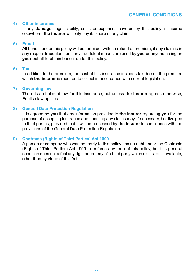### **4) Other insurance**

If any **damage**, legal liability, costs or expenses covered by this policy is insured elsewhere, **the insurer** will only pay its share of any claim.

### **5) Fraud**

All benefit under this policy will be forfeited, with no refund of premium, if any claim is in any respect fraudulent, or if any fraudulent means are used by **you** or anyone acting on **your** behalf to obtain benefit under this policy.

### **6) Tax**

In addition to the premium, the cost of this insurance includes tax due on the premium which **the insurer** is required to collect in accordance with current legislation.

### **7) Governing law**

There is a choice of law for this insurance, but unless **the insurer** agrees otherwise, English law applies.

### **8) General Data Protection Regulation**

It is agreed by **you** that any information provided to **the insurer** regarding **you** for the purpose of accepting insurance and handling any claims may, if necessary, be divulged to third parties, provided that it will be processed by **the insurer** in compliance with the provisions of the General Data Protection Regulation.

### **9) Contracts (Rights of Third Parties) Act 1999**

A person or company who was not party to this policy has no right under the Contracts (Rights of Third Parties) Act 1999 to enforce any term of this policy, but this general condition does not affect any right or remedy of a third party which exists, or is available, other than by virtue of this Act.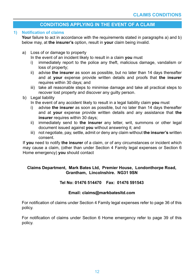### **CONDITIONS APPLYING IN THE EVENT OF A CLAIM**

### **1) Notification of claims**

**Your** failure to act in accordance with the requirements stated in paragraphs a) and b) below may, at **the insurer's** option, result in **your** claim being invalid.

### a) Loss of or damage to property

In the event of an incident likely to result in a claim **you** must

- i) immediately report to the police any theft, malicious damage, vandalism or loss of property;
- ii) advise **the insurer** as soon as possible, but no later than 14 days thereafter and at **your** expense provide written details and proofs that **the insurer** requires within 30 days; and
- iii) take all reasonable steps to minimise damage and take all practical steps to recover lost property and discover any guilty person.

### b) Legal liability

In the event of any accident likely to result in a legal liability claim **you** must

- i) advise **the insurer** as soon as possible, but no later than 14 days thereafter and at **your** expense provide written details and any assistance that **the insurer** requires within 30 days:
- ii) immediately send to **the insurer** any letter, writ, summons or other legal document issued against **you** without answering it; and
- iii) not negotiate, pay, settle, admit or deny any claim without **the insurer's** written consent.

If **you** need to notify **the insurer** of a claim, or of any circumstances or incident which may cause a claim, (other than under Section 4 Family legal expenses or Section 6 Home emergency) **you** should contact

### **Claims Department, Mark Bates Ltd, Premier House, Londonthorpe Road, Grantham, Lincolnshire. NG31 9SN**

### **Tel No: 01476 514470 Fax: 01476 591543**

### **Email: claims@markbatesltd.com**

For notification of claims under Section 4 Family legal expenses refer to page 36 of this policy.

For notification of claims under Section 6 Home emergency refer to page 39 of this policy.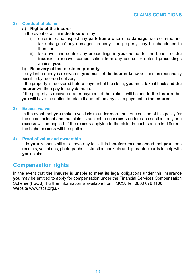### **2) Conduct of claims**

### a) **Rights of the insurer**

In the event of a claim **the insurer** may

- i) enter into and inspect any **park home** where the **damage** has occurred and take charge of any damaged property - no property may be abandoned to them; and
- ii) take over and control any proceedings in **your** name, for the benefit of **the insurer**, to recover compensation from any source or defend proceedings against **you**.

### b) **Recovery of lost or stolen property**

If any lost property is recovered, **you** must let **the insurer** know as soon as reasonably possible by recorded delivery.

If the property is recovered before payment of the claim, **you** must take it back and **the insurer** will then pay for any damage.

If the property is recovered after payment of the claim it will belong to **the insurer**, but **you** will have the option to retain it and refund any claim payment to **the insurer**.

### **3) Excess waiver**

In the event that **you** make a valid claim under more than one section of this policy for the same incident and that claim is subject to an **excess** under each section, only one **excess** will be applied. If the **excess** applying to the claim in each section is different, the higher **excess** will be applied.

### **4) Proof of value and ownership**

It is **your** responsibility to prove any loss. It is therefore recommended that **you** keep receipts, valuations, photographs, instruction booklets and guarantee cards to help with **your** claim.

### **Compensation rights**

In the event that **the insurer** is unable to meet its legal obligations under this insurance **you** may be entitled to apply for compensation under the Financial Services Compensation Scheme (FSCS). Further information is available from FSCS. Tel: 0800 678 1100. Website www.fscs.org.uk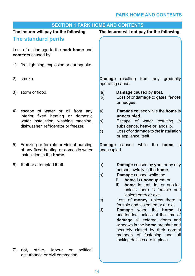### **PARK HOME AND CONTENTS**

|     | <b>SECTION 1 PARK HOME AND CONTENTS</b>                                                                                                               |                                                                                                                                                                                                                                                                                                                                                                                                                                                                                                                                                                                                     |  |
|-----|-------------------------------------------------------------------------------------------------------------------------------------------------------|-----------------------------------------------------------------------------------------------------------------------------------------------------------------------------------------------------------------------------------------------------------------------------------------------------------------------------------------------------------------------------------------------------------------------------------------------------------------------------------------------------------------------------------------------------------------------------------------------------|--|
|     | The insurer will pay for the following.                                                                                                               | The insurer will not pay for the following.                                                                                                                                                                                                                                                                                                                                                                                                                                                                                                                                                         |  |
|     | The standard perils                                                                                                                                   |                                                                                                                                                                                                                                                                                                                                                                                                                                                                                                                                                                                                     |  |
|     | Loss of or damage to the park home and<br>contents caused by                                                                                          |                                                                                                                                                                                                                                                                                                                                                                                                                                                                                                                                                                                                     |  |
| 1). | fire, lightning, explosion or earthquake.                                                                                                             |                                                                                                                                                                                                                                                                                                                                                                                                                                                                                                                                                                                                     |  |
| 2)  | smoke.                                                                                                                                                | <b>Damage</b> resulting<br>from<br>gradually<br>any<br>operating cause.                                                                                                                                                                                                                                                                                                                                                                                                                                                                                                                             |  |
| 3)  | storm or flood.                                                                                                                                       | <b>Damage</b> caused by frost.<br>a)<br>Loss of or damage to gates, fences<br>b)<br>or hedges.                                                                                                                                                                                                                                                                                                                                                                                                                                                                                                      |  |
| 4)  | escape of water or oil from any<br>interior fixed heating or domestic<br>water installation, washing machine,<br>dishwasher, refrigerator or freezer. | a <br><b>Damage</b> caused while the <b>home</b> is<br>unoccupied.<br>Escape of water resulting<br>$\mathsf{in}$<br>b)<br>subsidence, heave or landslip.<br>Loss of or damage to the installation<br>$\mathsf{c}$<br>or appliance itself.                                                                                                                                                                                                                                                                                                                                                           |  |
| 5)  | Freezing or forcible or violent bursting<br>of any fixed heating or domestic water<br>installation in the <b>home</b> .                               | <b>Damage</b><br>while<br>the<br>caused<br>home<br>is<br>unoccupied.                                                                                                                                                                                                                                                                                                                                                                                                                                                                                                                                |  |
| 6)  | theft or attempted theft.                                                                                                                             | Damage caused by you, or by any<br> a <br>person lawfully in the home.<br>Damage caused while the<br> b)<br>home is unoccupied; or<br>i)<br>home is lent, let or sub-let,<br>ii)<br>unless there is forcible and<br>violent entry or exit.<br>Loss of money, unless there is<br>$\mathsf{c}$<br>forcible and violent entry or exit.<br>Damage when the<br>home<br> d)<br>is<br>unattended, unless at the time of<br>damage all external doors and<br>windows in the <b>home</b> are shut and<br>securely closed by their normal<br>methods of fastening and<br>all<br>locking devices are in place. |  |
| 7)  | strike,<br>labour<br>political<br>riot.<br>or<br>disturbance or civil commotion.                                                                      |                                                                                                                                                                                                                                                                                                                                                                                                                                                                                                                                                                                                     |  |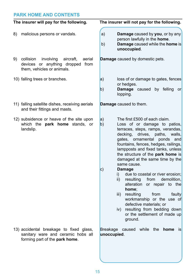### **PARK HOME AND CONTENTS**

|    | The insurer will pay for the following.                                                                            | The insurer will not pay for the following.                                                                                                                                                                                                                                                                                                                                                                                                                                                                                                                                                                                                                                                         |
|----|--------------------------------------------------------------------------------------------------------------------|-----------------------------------------------------------------------------------------------------------------------------------------------------------------------------------------------------------------------------------------------------------------------------------------------------------------------------------------------------------------------------------------------------------------------------------------------------------------------------------------------------------------------------------------------------------------------------------------------------------------------------------------------------------------------------------------------------|
| 8) | malicious persons or vandals.                                                                                      | a)<br>Damage caused by you, or by any<br>person lawfully in the home.<br>b)<br>Damage caused while the home is<br>unoccupied.                                                                                                                                                                                                                                                                                                                                                                                                                                                                                                                                                                       |
|    | 9) collision<br>involving<br>aircraft,<br>aerial<br>devices or anything dropped from<br>them, vehicles or animals. | <b>Damage</b> caused by domestic pets.                                                                                                                                                                                                                                                                                                                                                                                                                                                                                                                                                                                                                                                              |
|    | 10) falling trees or branches.                                                                                     | loss of or damage to gates, fences<br> a <br>or hedges.<br><b>Damage</b> caused by felling<br> b)<br><b>or</b><br>lopping.                                                                                                                                                                                                                                                                                                                                                                                                                                                                                                                                                                          |
|    | 11) falling satellite dishes, receiving aerials<br>and their fittings and masts.                                   | <b>Damage</b> caused to them.                                                                                                                                                                                                                                                                                                                                                                                                                                                                                                                                                                                                                                                                       |
|    | 12) subsidence or heave of the site upon<br>which the park home stands, or<br>landslip.                            | The first £500 of each claim.<br> a <br> b)<br>Loss of or damage to patios,<br>terraces, steps, ramps, verandas,<br>decking,<br>drives,<br>paths,<br>walls,<br>gates, ornamental ponds<br>and<br>fountains, fences, hedges, railings,<br>lampposts and fixed tanks, unless<br>the structure of the park home is<br>damaged at the same time by the<br>same cause.<br> c)<br><b>Damage</b><br>due to coastal or river erosion;<br>i)<br>demolition,<br>ii)<br>resulting<br>from<br>alteration or repair to the<br>home:<br>resulting<br>from<br>iii)<br>faulty<br>workmanship or the use of<br>defective materials; or<br>iv) resulting from bedding down<br>or the settlement of made up<br>ground. |
|    | 13) accidental breakage to fixed glass,<br>sanitary ware and ceramic hobs all<br>forming part of the park home.    | Breakage caused while the<br>home is<br>unoccupied.                                                                                                                                                                                                                                                                                                                                                                                                                                                                                                                                                                                                                                                 |
|    |                                                                                                                    |                                                                                                                                                                                                                                                                                                                                                                                                                                                                                                                                                                                                                                                                                                     |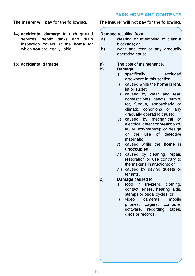- 14) **accidental damage** to underground services, septic tanks and drain inspection covers at the **home** for which **you** are legally liable.
- 15) **accidental damage**

### **The insurer will pay for the following. The insurer will not pay for the following.**

### **Damage** resulting from

- a) clearing or attempting to clear a blockage; or
- b) wear and tear or any gradually operating cause.
- $(a)$  The cost of maintenance.<br>b) **Damage**

### b) **Damage**

- i) specifically excluded elsewhere in this section;
- ii) caused while the **home** is lent, let or sublet;
- iii) caused by wear and tear, domestic pets, insects, vermin, rot, fungus, atmospheric or climatic conditions or any gradually operating cause;
- iv) caused by mechanical or electrical defect or breakdown, faulty workmanship or design or the use of defective materials;
- v) caused while the **home** is **unoccupied**;
- vi) caused by cleaning, repair, restoration or use contrary to the maker's instructions; or
- vii) caused by paying guests or tenants.
- c) **Damage** caused to
	- i) food in freezers, clothing, contact lenses, hearing aids, stamps or pedal cycles; or
	- ii) video cameras, mobile phones, pagers, computer software, recording tapes, discs or records.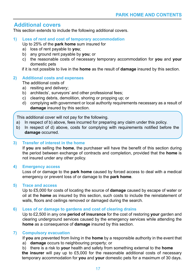### **Additional covers**

This section extends to include the following additional covers.

**1) Loss of rent and cost of temporary accommodation**

Up to 25% of the **park home** sum insured for

- a) loss of rent payable to **you**;
- b) any ground rent payable by **you**; or
- c) the reasonable costs of necessary temporary accommodation for **you** and **your** domestic pets

if it is not possible to live in the **home** as the result of **damage** insured by this section.

### **2) Additional costs and expenses**

The additional costs of

- a) resiting and delivery;
- b) architects', surveyors' and other professional fees;
- c) clearing debris, demolition, shoring or propping up; or
- d) complying with government or local authority requirements necessary as a result of **damage** insured by this section.

This additional cover will not pay for the following.

- a) In respect of b) above, fees incurred for preparing any claim under this policy.
- b) In respect of d) above, costs for complying with requirements notified before the **damage** occurred.

### **3) Transfer of interest in the home**

If **you** are selling the **home**, the purchaser will have the benefit of this section during the period between exchange of contracts and completion, provided that the **home** is not insured under any other policy.

### **4) Emergency access**

Loss of or damage to the **park home** caused by forced access to deal with a medical emergency or prevent loss of or damage to the **park home**.

### **5) Trace and access**

Up to £5,000 for costs of locating the source of **damage** caused by escape of water or oil at the **home** as insured by this section, such costs to include the reinstatement of walls, floors and ceilings removed or damaged during the search.

### **6) Loss of or damage to gardens and cost of clearing drains**

Up to £2,500 in any one **period of insurance** for the cost of restoring **your** garden and clearing underground services caused by the emergency services while attending the **home** as a consequence of **damage** insured by this section.

### **7) Compulsory evacuation**

If **you** are prevented from living in the **home** by a responsible authority in the event that

- a) **damage** occurs to neighbouring property; or
- b) there is a risk to **your** health and safety from something external to the **home**

**the insurer** will pay up to £5,000 for the reasonable additional costs of necessary temporary accommodation for **you** and **your** domestic pets for a maximum of 30 days.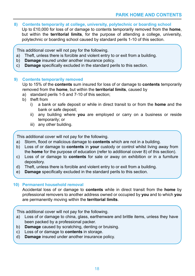**8) Contents temporarily at college, university, polytechnic or boarding school**

Up to £10,000 for loss of or damage to contents temporarily removed from the **home**, but within the **territorial limits**, for the purpose of attending a college, university, polytechnic or boarding school caused by standard perils 1-10 of this section.

This additional cover will not pay for the following.

- a) Theft, unless there is forcible and violent entry to or exit from a building.
- b) **Damage** insured under another insurance policy.
- c) **Damage** specifically excluded in the standard perils to this section.

### **9) Contents temporarily removed**

Up to 15% of the **contents** sum insured for loss of or damage to **contents** temporarily removed from the **home**, but within the **territorial limits**, caused by

- a) standard perils 1-5 and 7-10 of this section;
- b) theft from
	- i) a bank or safe deposit or while in direct transit to or from the **home** and the bank or safe deposit;
	- ii) any building where **you** are employed or carry on a business or reside temporarily; or
	- iii) any other building.

This additional cover will not pay for the following.

- a) Storm, flood or malicious damage to **contents** which are not in a building.
- b) Loss of or damage to **contents** in **your** custody or control whilst living away from the **home** for the purpose of education (refer to additional cover 8) of this section).
- c) Loss of or damage to **contents** for sale or away on exhibition or in a furniture depository.
- d) Theft, unless there is forcible and violent entry to or exit from a building.
- e) **Damage** specifically excluded in the standard perils to this section.

### **10) Permanent household removal**

Accidental loss of or damage to **contents** while in direct transit from the **home** by professional removers to another address owned or occupied by **you** and to which **you** are permanently moving within the **territorial limits**.

This additional cover will not pay for the following.

- a) Loss of or damage to china, glass, earthenware and brittle items, unless they have been packed by a professional packer.
- b) **Damage** caused by scratching, denting or bruising.
- c) Loss of or damage to **contents** in storage.
- d) **Damage** insured under another insurance policy.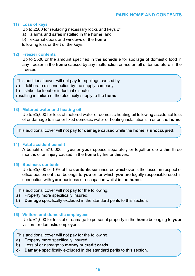### **11) Loss of keys**

Up to £500 for replacing necessary locks and keys of

- a) alarms and safes installed in the **home**; and
- b) external doors and windows of the **home**

following loss or theft of the keys.

### **12) Freezer contents**

Up to £500 or the amount specified in the **schedule** for spoilage of domestic food in any freezer in the **home** caused by any malfunction or rise or fall of temperature in the freezer.

This additional cover will not pay for spoilage caused by

- a) deliberate disconnection by the supply company
- b) strike, lock out or industrial dispute

resulting in failure of the electricity supply to the **home**.

### **13) Metered water and heating oil**

Up to £5,000 for loss of metered water or domestic heating oil following accidental loss of or damage to interior fixed domestic water or heating installations in or on the **home**.

This additional cover will not pay for **damage** caused while the **home** is **unoccupied**.

### **14) Fatal accident benefit**

A benefit of £10,000 if **you** or **your** spouse separately or together die within three months of an injury caused in the **home** by fire or thieves.

### **15) Business contents**

Up to £5,000 or 10% of the **contents** sum insured whichever is the lesser in respect of office equipment that belongs to **you** or for which **you** are legally responsible used in connection with **your** business or occupation whilst in the **home**.

This additional cover will not pay for the following.

- a) Property more specifically insured.
- b) **Damage** specifically excluded in the standard perils to this section.

### **16) Visitors and domestic employees**

Up to £1,000 for loss of or damage to personal property in the **home** belonging to **your**  visitors or domestic employees.

This additional cover will not pay for the following.

- a) Property more specifically insured.
- b) Loss of or damage to **money** or **credit cards**.
- c) **Damage** specifically excluded in the standard perils to this section.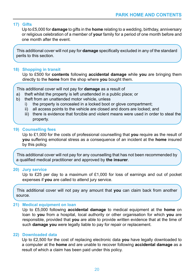### **17) Gifts**

Up to £5,000 for **damage** to gifts in the **home** relating to a wedding, birthday, anniversary or religious celebration of a member of **your** family for a period of one month before and one month after the event.

This additional cover will not pay for **damage** specifically excluded in any of the standard perils to this section.

### **18) Shopping in transit**

Up to £500 for **contents** following **accidental damage** while **you** are bringing them directly to the **home** from the shop where **you** bought them.

This additional cover will not pay for **damage** as a result of

- a) theft whilst the property is left unattended in a public place; or
- b) theft from an unattended motor vehicle, unless
	- i) the property is concealed in a locked boot or glove compartment;<br>ii) all access points to the vehicle are closed and doors are locked:
	- all access points to the vehicle are closed and doors are locked; and
	- iii) there is evidence that forcible and violent means were used in order to steal the property.

### **19) Counselling fees**

Up to £1,000 for the costs of professional counselling that **you** require as the result of **you** suffering emotional stress as a consequence of an incident at the **home** insured by this policy.

This additional cover will not pay for any counselling that has not been recommended by a qualified medical practitioner and approved by **the insurer**.

### **20) Jury service**

Up to £25 per day to a maximum of £1,000 for loss of earnings and out of pocket expenses if **you** are called to attend jury service.

This additional cover will not pay any amount that **you** can claim back from another source.

### **21) Medical equipment on loan**

Up to £5,000 following **accidental damage** to medical equipment at the **home** on loan to **you** from a hospital, local authority or other organisation for which **you** are responsible, provided that **you** are able to provide written evidence that at the time of such **damage you** were legally liable to pay for repair or replacement.

### **22) Downloaded data**

Up to £2,500 for the cost of replacing electronic data **you** have legally downloaded to a computer at the **home** and are unable to recover following **accidental damage** as a result of which a claim has been paid under this policy.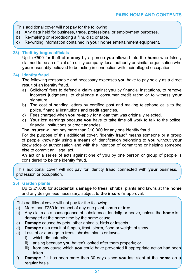This additional cover will not pay for the following.

- a) Any data held for business, trade, professional or employment purposes.
- b) Re-making or reproducing a film, disc or tape.
- c) Re-writing information contained in **your home** entertainment equipment.

### **23) Theft by bogus officials**

Up to £500 for theft of **money** by a person **you** allowed into the **home** who falsely claimed to be an official of a utility company, local authority or similar organisation who **you** reasonably believed to be acting in connection with their alleged occupation.

### **24) Identity fraud**

The following reasonable and necessary expenses **you** have to pay solely as a direct result of an identity fraud.

- a) Solicitors' fees to defend a claim against **you** by financial institutions, to remove incorrect judgments, to challenge a consumer credit rating or to witness **your**  signature.
- b) The cost of sending letters by certified post and making telephone calls to the police, financial institutions and credit agencies.
- c) Fees charged when **you** re-apply for a loan that was originally rejected.
- d) **Your** lost earnings because **you** have to take time off work to talk to the police, financial institutions or credit agencies.

**The insurer** will not pay more than £10,000 for any one identity fraud.

For the purpose of this additional cover, "identity fraud" means someone or a group of people knowingly using a means of identification belonging to **you** without **your** knowledge or authorisation and with the intention of committing or helping someone else to commit an illegal act.

An act or a series of acts against one of **you** by one person or group of people is considered to be one identity fraud.

This additional cover will not pay for identity fraud connected with **your** business, profession or occupation.

### **25) Garden plants**

Up to £1,000 for **accidental damage** to trees, shrubs, plants and lawns at the **home** and any design fees necessary, subject to **the insurer's** approval.

This additional cover will not pay for the following.

- a) More than £250 in respect of any one plant, shrub or tree.
- b) Any claim as a consequence of subsidence, landslip or heave, unless the **home** is damaged at the same time by the same cause.
- c) **Damage** caused by pets, other animals, birds or insects.
- d) **Damage** as a result of fungus, frost, storm, flood or weight of snow.
- e) Loss of or damage to trees, shrubs, plants or lawns
	- i) which die naturally;
	- ii) arising because **you** haven't looked after them properly; or
	- iii) from any cause which **you** could have prevented if appropriate action had been taken.
- f) **Damage** if it has been more than 30 days since **you** last slept at the **home** on a regular basis.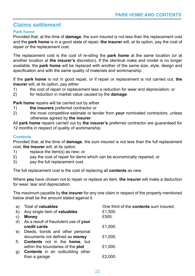### **Claims settlement**

### **Park home**

Provided that, at the time of **damage**, the sum insured is not less than the replacement cost and the **park home** is in a good state of repair, **the insurer** will, at its option, pay the cost of repair or the replacement cost.

The replacement cost is the cost of re-siting the **park home** at the same location (or at another location at **the insurer's** discretion). If the identical make and model is no longer available, the **park home** will be replaced with another of the same size, style, design and specification and with the same quality of materials and workmanship.

If the **park home** is not in good repair, or if repair or replacement is not carried out, **the insurer** will, at its option, pay either

- 1) the cost of repair or replacement less a reduction for wear and depreciation; or <br>2) for reduction in market value caused by the **damage**.
- 2) for reduction in market value caused by the **damage**.

**Park home** repairs will be carried out by either

- 1) **the insurers** preferred contractor or<br>2) the most competitive estimate or ter
- 2) the most competitive estimate or tender from **your** nominated contractors, unless otherwise agreed by **the insurer**.

All **park home** repairs carried out by **the insurer's** preferred contractor are guaranteed for 12 months in respect of quality of workmanship.

### **Contents**

Provided that, at the time of **damage**, the sum insured is not less than the full replacement cost, **the insurer** will, at its option

- 1) replace the item(s) as new; or
- 2) pay the cost of repair for items which can be economically repaired; or
- 3) pay the full replacement cost.

The full replacement cost is the cost of replacing all **contents** as new.

Where **you** have chosen not to repair or replace an item, **the insurer** will make a deduction for wear, tear and depreciation.

The maximum payable by **the insurer** for any one claim in respect of the property mentioned below shall be the amount stated against it.

| a) | Total of <b>valuables</b>                    | One third of the <b>contents</b> sum insured. |
|----|----------------------------------------------|-----------------------------------------------|
| b) | Any single item of <b>valuables</b>          | £1,500.                                       |
| C) | <b>Money</b>                                 | £500.                                         |
| d) | As a result of fraudulent use of your        |                                               |
|    | credit cards                                 | £1,000.                                       |
| e) | Deeds, bonds and other personal              |                                               |
|    | documents not defined as <b>money</b>        | £1,000.                                       |
| f) | <b>Contents</b> not in the <b>home</b> , but |                                               |
|    | within the boundaries of the <b>plot</b>     | £1.000.                                       |
| g) | Contents in an outbuilding other             |                                               |
|    | than a garage                                | £2.000.                                       |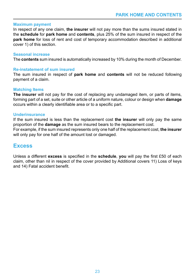### **Maximum payment**

In respect of any one claim, **the insurer** will not pay more than the sums insured stated in the **schedule** for **park home** and **contents**, plus 25% of the sum insured in respect of the **park home** for loss of rent and cost of temporary accommodation described in additional cover 1) of this section.

### **Seasonal increase**

The **contents** sum insured is automatically increased by 10% during the month of December.

### **Re-instatement of sum insured**

The sum insured in respect of **park home** and **contents** will not be reduced following payment of a claim.

### **Matching Items**

**The insurer** will not pay for the cost of replacing any undamaged item, or parts of items, forming part of a set, suite or other article of a uniform nature, colour or design when **damage**  occurs within a clearly identifiable area or to a specific part.

### **Underinsurance**

If the sum insured is less than the replacement cost **the insurer** will only pay the same proportion of the **damage** as the sum insured bears to the replacement cost.

For example, if the sum insured represents only one half of the replacement cost, **the insurer**  will only pay for one half of the amount lost or damaged.

### **Excess**

Unless a different **excess** is specified in the **schedule**, **you** will pay the first £50 of each claim, other than nil in respect of the cover provided by Additional covers 11) Loss of keys and 14) Fatal accident benefit.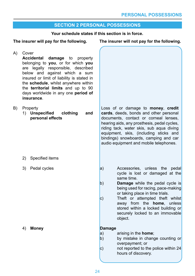### **SECTION 2 PERSONAL POSSESSIONS**

### **Your schedule states if this section is in force.**

### **The insurer will pay for the following. The insurer will not pay for the following.**

| A) | Cover<br>Accidental<br>damage to property<br>belonging to you, or for which you<br>are legally responsible, described<br>below and against which a sum<br>insured or limit of liability is stated in<br>the schedule, whilst anywhere within<br>the territorial limits and up to 90<br>days worldwide in any one period of<br>insurance. |                                                                   |                                           |                                                                                                                                                                                                                                                                                                                                                               |
|----|------------------------------------------------------------------------------------------------------------------------------------------------------------------------------------------------------------------------------------------------------------------------------------------------------------------------------------------|-------------------------------------------------------------------|-------------------------------------------|---------------------------------------------------------------------------------------------------------------------------------------------------------------------------------------------------------------------------------------------------------------------------------------------------------------------------------------------------------------|
| B) |                                                                                                                                                                                                                                                                                                                                          | Property<br>1) Unspecified<br>clothing<br>and<br>personal effects |                                           | Loss of or damage to money, credit<br>cards, deeds, bonds and other personal<br>documents, contact or corneal lenses,<br>hearing aids, any prosthesis, pedal cycles,<br>riding tack, water skis, sub aqua diving<br>equipment, skis, (including sticks and<br>bindings) snowboards, camping and car<br>audio equipment and mobile telephones.                 |
|    | 2)                                                                                                                                                                                                                                                                                                                                       | Specified items                                                   |                                           |                                                                                                                                                                                                                                                                                                                                                               |
|    | 3)                                                                                                                                                                                                                                                                                                                                       | Pedal cycles                                                      | a)<br> b)<br> c)                          | Accessories,<br>unless the<br>pedal<br>cycle is lost or damaged at the<br>same time.<br>Damage while the pedal cycle is<br>being used for racing, pace-making<br>or taking place in time trials.<br>Theft or attempted theft whilst<br>away from the <b>home</b> , unless<br>stored within a locked building or<br>securely locked to an immovable<br>object. |
|    | 4)                                                                                                                                                                                                                                                                                                                                       | <b>Money</b>                                                      | <b>Damage</b><br> a <br> b)<br>$\vert c)$ | arising in the <b>home</b> ;<br>by mistake in change counting or<br>overpayment; or<br>not reported to the police within 24<br>hours of discovery.                                                                                                                                                                                                            |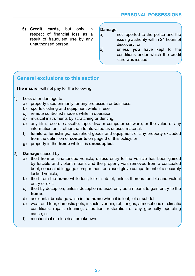5) **Credit cards**, but only in respect of financial loss as a result of fraudulent use by any unauthorised person.

## **Damage**

- not reported to the police and the issuing authority within 24 hours of discovery; or
- b) unless **you** have kept to the conditions under which the credit card was issued.

### **General exclusions to this section**

**The insurer** will not pay for the following.

- 1) Loss of or damage to
	- a) property used primarily for any profession or business;
	- b) sports clothing and equipment while in use;
	- c) remote controlled models while in operation;
	- d) musical instruments by scratching or denting;
	- e) any film, record, cassette, tape, disc or computer software, or the value of any information on it, other than for its value as unused material;
	- f) furniture, furnishings, household goods and equipment or any property excluded from the definition of **contents** on page 6 of this policy; or
	- g) property in the **home** while it is **unoccupied**.
- 2) **Damage** caused by
	- a) theft from an unattended vehicle, unless entry to the vehicle has been gained by forcible and violent means and the property was removed from a concealed boot, concealed luggage compartment or closed glove compartment of a securely locked vehicle;
	- b) theft from the **home** while lent, let or sub-let, unless there is forcible and violent entry or exit;
	- c) theft by deception, unless deception is used only as a means to gain entry to the **home**.
	- d) accidental breakage while in the **home** when it is lent, let or sub-let;
	- e) wear and tear, domestic pets, insects, vermin, rot, fungus, atmospheric or climatic conditions, repair, cleaning, alteration, restoration or any gradually operating cause; or
	- f) mechanical or electrical breakdown.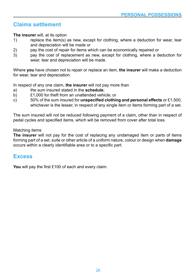### **Claims settlement**

**The insurer** will, at its option

- 1) replace the item(s) as new, except for clothing, where a deduction for wear, tear and depreciation will be made or
- 2) pay the cost of repair for items which can be economically repaired or
- 3) pay the cost of replacement as new, except for clothing, where a deduction for wear, tear and depreciation will be made.

Where **you** have chosen not to repair or replace an item, **the insurer** will make a deduction for wear, tear and depreciation.

In respect of any one claim, **the insurer** will not pay more than

- a) the sum insured stated in the **schedule**;
- b) £1,000 for theft from an unattended vehicle; or
- c) 50% of the sum insured for **unspecified clothing and personal effects** or £1,500, whichever is the lesser, in respect of any single item or items forming part of a set.

The sum insured will not be reduced following payment of a claim, other than in respect of pedal cycles and specified items, which will be removed from cover after total loss.

### Matching items

**The insurer** will not pay for the cost of replacing any undamaged item or parts of items forming part of a set, suite or other article of a uniform nature, colour or design when **damage**  occurs within a clearly identifiable area or to a specific part.

### **Excess**

**You** will pay the first £100 of each and every claim.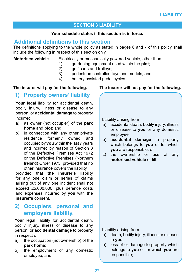### **SECTION 3 LIABILITY**

### **Your schedule states if this section is in force.**

### **Additional definitions to this section**

The definitions applying to the whole policy as stated in pages 6 and 7 of this policy shall include the following in respect of this section only.

**Motorised vehicle** Electrically or mechanically powered vehicle, other than

- 1) gardening equipment used within the **plot**;
- 2) golf carts and trolleys;<br>3) pedestrian controlled t
	- 3) pedestrian controlled toys and models; and
- 4) battery assisted pedal cycles.

### **1) Property owners' liability**

Your legal liability for accidental death, bodily injury, illness or disease to any person, or **accidental damage** to property incurred

- a) as owner (not occupier) of the **park home** and **plot**; and
- b) in connection with any other private residence formerly owned and occupied by **you** within the last 7 years and incurred by reason of Section 3 of the Defective Premises Act 1972 or the Defective Premises (Northern Ireland) Order 1975, provided that no other insurance covers the liability

provided that **the insurer's** liability for any one claim or series of claims arising out of any one incident shall not exceed £5,000,000, plus defence costs and expenses incurred by **you** with **the insurer's** consent.

### **2) Occupiers, personal and employers liability.**

**Your** legal liability for accidental death, bodily injury, illness or disease to any person, or **accidental damage** to property in respect of

- a) the occupation (not ownership) of the **park home**;
- b) the employment of any domestic employee; and

### **The insurer will pay for the following. The insurer will not pay for the following.**

Liability arising from

- a) accidental death, bodily injury, illness or disease to **you** or any domestic employee;
- b) **accidental damage** to property which belongs to **you** or for which **you** are responsible; or
- c) the ownership or use of any **motorised vehicle** or lift.

Liability arising from

a) death, bodily injury, illness or disease to **you**;

b) loss of or damage to property which belongs to **you** or for which **you** are responsible;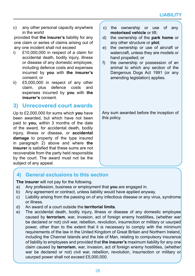c) any other personal capacity anywhere in the world

provided that **the insurer's** liability for any one claim or series of claims arising out of any one incident shall not exceed

- i) £10,000,000 in respect of a claim for accidental death, bodily injury, illness or disease of any domestic employee, including defence costs and expenses incurred by **you** with **the insurer's**  consent; or
- ii) £5,000,000 in respect of any other claim, plus defence costs and expenses incurred by **you** with **the insurer's** consent.

### **3) Unrecovered court awards**

Up to £2,000,000 for sums which **you** have been awarded, but which have not been paid to **you,** within 3 months of the date of the award, for accidental death, bodily injury, illness or disease, or **accidental damage** to property of the type insured in paragraph 2) above and where **the insurer** is satisfied that these sums are not recoverable from the party held responsible by the court. The award must not be the subject of any appeal.

- c) the ownership or use of any **motorised vehicle** or lift;
- d) the ownership of the **park home** or any other structure or **plot**;
- e) the ownership or use of aircraft or watercraft, unless they are models or hand propelled; or
- f) the ownership or possession of an animal to which any section of the Dangerous Dogs Act 1991 (or any amending legislation) applies.

Any sum awarded before the inception of this policy.

### **4) General exclusions to this section**

**The insurer** will not pay for the following.

- a) Any profession, business or employment that **you** are engaged in.
- b) Any agreement or contract, unless liability would have applied anyway.
- c) Liability arising from the passing on of any infectious disease or any virus, syndrome or illness.
- d) An award of a court outside the **territorial limits**.
- e) The accidental death, bodily injury, illness or disease of any domestic employee caused by **terrorism**, war, invasion, act of foreign enemy hostilities, (whether war be declared or not) civil war, rebellion, revolution, insurrection or military or usurped power, other than to the extent that it is necessary to comply with the minimum requirements of the law in the United Kingdom of Great Britain and Northern Ireland, including the Channel Islands and the Isle of Man, relating to compulsory insurance of liability to employees and provided that **the insurer's** maximum liability for any one claim caused by **terrorism**, war, invasion, act of foreign enemy hostilities, (whether war be declared or not) civil war, rebellion, revolution, insurrection or military or usurped power shall not exceed £5,000,000.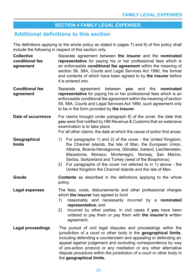### **SECTION 4 FAMILY LEGAL EXPENSES**

### **Additional definitions to this section**

The definitions applying to the whole policy as stated in pages 7) and 8) of this policy shall include the following in respect of this section only.

| <b>Collective</b><br>conditional fee<br>agreement | Separate agreement between the insurer and the nominated<br>representative for paying his or her professional fees which is<br>an enforceable conditional fee agreement within the meaning of<br>section 58, 58A, Courts and Legal Services Act 1990, the format<br>and contents of which have been agreed to by the insurer before<br>it is entered into.                                                                                           |
|---------------------------------------------------|------------------------------------------------------------------------------------------------------------------------------------------------------------------------------------------------------------------------------------------------------------------------------------------------------------------------------------------------------------------------------------------------------------------------------------------------------|
| <b>Conditional fee</b><br>agreement               | Separate<br>between<br>you<br>the<br>nominated<br>agreement<br>and<br>representative for paying his or her professional fees which is an<br>enforceable conditional fee agreement within the meaning of section<br>58, 58A, Courts and Legal Services Act 1990, such agreement only<br>to be in the form provided by the insurer.                                                                                                                    |
| Date of occurrence                                | For claims brought under paragraph 8) of the cover, the date that<br>you were first notified by HM Revenue & Customs that an extensive<br>examination is to take place.<br>For all other claims, the date at which the cause of action first arose.                                                                                                                                                                                                  |
| Geographical<br>limits                            | For paragraphs 1) and 2) of the cover - the United Kingdom,<br>1)<br>the Channel Islands, the Isle of Man, the European Union,<br>Albania, Bosnia-Herzegovina, Gibraltar, Iceland, Liechtenstein,<br>Macedonia, Monaco, Montenegro, Norway, San Marino,<br>Serbia, Switzerland and Turkey (west of the Bosphorus).<br>For paragraphs of the cover not referred to in 1) above - the<br>2)<br>United Kingdom the Channel Islands and the Isle of Man. |
| Goods                                             | Contents as described in the definitions applying to the whole<br>policy.                                                                                                                                                                                                                                                                                                                                                                            |
| <b>Legal expenses</b>                             | The fees, costs, disbursements and other professional charges<br>which the insurer has agreed to fund<br>1)<br>reasonably and necessarily incurred by a nominated<br>representative; and<br>incurred by other parties, in civil cases if you have been<br>2)<br>ordered to pay them or pay them with the insurer's written<br>agreement.                                                                                                             |
| <b>Legal proceedings</b>                          | The pursuit of civil legal disputes and proceedings within the<br>jurisdiction of a court or other body in the geographical limits,<br>including defending a counterclaim and appealing or defending an<br>appeal against judgement and excluding correspondence by way<br>of pre-action protocol or any mediation or any other alternative<br>dispute procedure within the jurisdiction of a court or other body in<br>the geographical limits.     |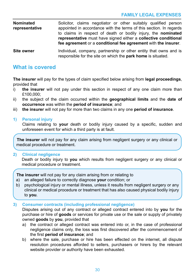**Nominated representative** Solicitor, claims negotiator or other suitably qualified person appointed in accordance with the terms of this section. In regards to claims in respect of death or bodily injury, the **nominated representative** must have signed either a **collective conditional fee agreement** or a **conditional fee agreement** with **the insurer**.

**Site owner** Individual, company, partnership or other entity that owns and is responsible for the site on which the **park home** is situated.

### **What is covered**

**The insurer** will pay for the types of claim specified below arising from **legal proceedings**, provided that

- i) **the insurer** will not pay under this section in respect of any one claim more than £100,000;
- ii) the subject of the claim occurred within the **geographical limits** and the **date of occurrence** was within the **period of insurance**; and
- iii) **the insurer** will not pay for more than two claims in any one **period of insurance**.
- **1) Personal injury**

Claims relating to **your** death or bodily injury caused by a specific, sudden and unforeseen event for which a third party is at fault.

**The insurer** will not pay for any claim arising from negligent surgery or any clinical or medical procedure or treatment.

### **2) Clinical negligence**

Death or bodily injury to **you** which results from negligent surgery or any clinical or medical procedure or treatment.

**The insurer** will not pay for any claim arising from or relating to

- a) an alleged failure to correctly diagnose **your** condition; or
- b) psychological injury or mental illness, unless it results from negligent surgery or any clinical or medical procedure or treatment that has also caused physical bodily injury to **you**.

### **3) Consumer contracts (including professional negligence)**

Disputes arising out of any contract or alleged contract entered into by **you** for the purchase or hire of **goods** or services for private use or the sale or supply of privately owned **goods** by **you**, provided that

- a) the contract or alleged contract was entered into or, in the case of professional negligence claims only, the loss was first discovered after the commencement of the first **period of insurance**; and
- b) where the sale, purchase or hire has been effected on the internet, all dispute resolution procedures afforded to sellers, purchasers or hirers by the relevant website provider or authority have been exhausted.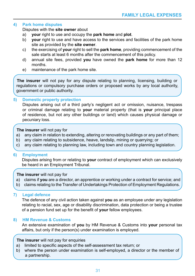### **4) Park home disputes**

Disputes with the **site owner** about

- a) **your** right to use and occupy the **park home** and **plot**.
- b) **your** right to use and have access to the services and facilities of the park home site as provided by the **site owner**.
- c) the exercising of **your** right to sell the **park home**, providing commencement of the sale starts at least 6 months after the commencement of this policy.
- d) annual site fees, provided **you** have owned the **park home** for more than 12 months.
- e) maintenance of the park home site.

**The insurer** will not pay for any dispute relating to planning, licensing, building or regulations or compulsory purchase orders or proposed works by any local authority, government or public authority.

### **5) Domestic property protection**

Disputes arising out of a third party's negligent act or omission, nuisance, trespass or criminal damage relating to **your** material property (that is **your** principal place of residence, but not any other buildings or land) which causes physical damage or pecuniary loss.

### **The insurer** will not pay for

- a) any claim in relation to extending, altering or renovating buildings or any part of them;
- b) any claim relating to subsidence, heave, landslip, mining or quarrying; or
- c) any claim relating to planning law, including town and country planning legislation.

### **6) Employment**

Disputes arising from or relating to **your** contract of employment which can exclusively be heard in an Employment Tribunal.

### **The insurer** will not pay for

- a) claims if **you** are a director, an apprentice or working under a contract for service; and
- b) claims relating to the Transfer of Undertakings Protection of Employment Regulations.

### **7) Legal defence**

The defence of any civil action taken against **you** as an employee under any legislation relating to racial, sex, age or disability discrimination, data protection or being a trustee of a pension fund set up for the benefit of **your** fellow employees.

### **8) HM Revenue & Customs**

An extensive examination of **you** by HM Revenue & Customs into **your** personal tax affairs, but only if the person(s) under examination is employed.

### **The insurer** will not pay for enquiries

- a) limited to specific aspects of the self-assessment tax return; or
- b) where the person under examination is self-employed, a director or the member of a partnership.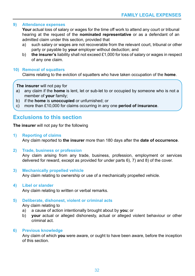### **9) Attendance expenses**

Your actual loss of salary or wages for the time off work to attend any court or tribunal hearing at the request of the **nominated representative** or as a defendant of an admitted claim under this section, provided that

- a) such salary or wages are not recoverable from the relevant court, tribunal or other party or payable by **your** employer without deduction; and
- b) **the insurer's** liability shall not exceed £1,000 for loss of salary or wages in respect of any one claim.

### **10) Removal of squatters**

Claims relating to the eviction of squatters who have taken occupation of the **home**.

### **The insurer** will not pay for

- a) any claim if the **home** is lent, let or sub-let to or occupied by someone who is not a member of **your** family;
- b) if the **home** is **unoccupied** or unfurnished; or
- c) more than £10,000 for claims occurring in any one **period of insurance**.

### **Exclusions to this section**

**The insurer** will not pay for the following

### **1) Reporting of claims**

Any claim reported to **the insurer** more than 180 days after the **date of occurrence**.

**2) Trade, business or profession**

Any claim arising from any trade, business, profession, employment or services delivered for reward, except as provided for under parts 6), 7) and 8) of the cover.

**3) Mechanically propelled vehicle** Any claim relating to ownership or use of a mechanically propelled vehicle.

### **4) Libel or slander**

Any claim relating to written or verbal remarks.

### **5) Deliberate, dishonest, violent or criminal acts**

Any claim relating to

- a) a cause of action intentionally brought about by **you**; or
- b) **your** actual or alleged dishonesty, actual or alleged violent behaviour or other criminal act.

### **6) Previous knowledge**

Any claim of which **you** were aware, or ought to have been aware, before the inception of this section.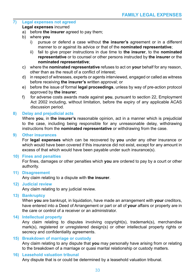### **7) Legal expenses not agreed**

### **Legal expenses** incurred

- a) before **the insurer** agreed to pay them;
- b) where **you**
	- i) pursue or defend a case without **the insurer's** agreement or in a different manner to or against its advice or that of the **nominated representative**;
	- ii) fail to give proper instructions in due time to **the insurer**, to the **nominated representative** or to counsel or other persons instructed by **the insurer** or the **nominated representative**;
- c) where the **nominated representative** refuses to act on **your** behalf for any reason, other than as the result of a conflict of interest;
- d) in respect of witnesses, experts or agents interviewed, engaged or called as witness before receiving **the insurer's** written approval; or
- e) before the issue of formal **legal proceedings**, unless by way of pre-action protocol approved by **the insurer**;
- f) for adverse costs awards made against **you**, pursuant to section 22, Employment Act 2002 including, without limitation, before the expiry of any applicable ACAS discussion period.

### **8) Delay and prejudicial acts**

Where **you**, in **the insurer's** reasonable opinion, act in a manner which is prejudicial to the case, including being responsible for any unreasonable delay, withdrawing instructions from the **nominated representative** or withdrawing from the case.

### **9) Other insurances**

For **legal expenses** which can be recovered by **you** under any other insurance or which would have been covered if this insurance did not exist, except for any amount in excess of that which would have been payable under such insurance(s).

### **10) Fines and penalties**

For fines, damages or other penalties which **you** are ordered to pay by a court or other authority.

**11) Disagreement** 

Any claim relating to a dispute with **the insurer**.

**12) Judicial review**

Any claim relating to any judicial review.

**13) Bankruptcy** 

When **you** are bankrupt, in liquidation, have made an arrangement with **your** creditors, have entered into a Deed of Arrangement or part or all of **your** affairs or property are in the care or control of a receiver or an administrator.

### **14) Intellectual property**

Any claim relating to disputes involving copyright(s), trademark(s), merchandise mark(s), registered or unregistered design(s) or other intellectual property rights or secrecy and confidentiality agreements.

### **15) Breakdown of marriage or custody**

Any claim relating to any dispute that **you** may personally have arising from or relating to the breakdown of a marriage or quasi marital relationship or custody matters.

### **16) Leasehold valuation tribunal**

Any dispute that is or could be determined by a leasehold valuation tribunal.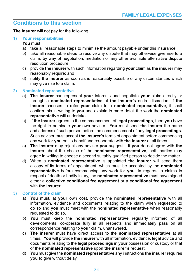### **Conditions to this section**

**The insurer** will not pay for the following

### **1) Your responsibilities**

### **You** must

- a) take all reasonable steps to minimise the amount payable under this insurance;
- b) take all reasonable steps to resolve any dispute that may otherwise give rise to a claim, by way of negotiation, mediation or any other available alternative dispute resolution procedure;
- c) provide **the insurer** with such information regarding **your** claim as **the insurer** may reasonably require; and
- d) notify **the insurer** as soon as is reasonably possible of any circumstances which may give rise to a claim.

### **2) Nominated representative**

- a) **The insurer** can represent **your** interests and negotiate **your** claim directly or through a **nominated representative** at **the insurer's** entire discretion. If **the insurer** chooses to refer **your** claim to a **nominated representative**, it shall confirm this in writing to **you** and explain in more detail the work the **nominated representative** will undertake.
- b) If **the insurer** agrees to the commencement of **legal proceedings**, then **you** have the right to nominate **your** own adviser. **You** must send **the insurer** the name and address of such person before the commencement of any **legal proceedings**. Such adviser must accept **the insurer's** terms of appointment before commencing any work for **you** on its behalf and co-operate with **the insurer** at all times.
- c) **The insurer** may reject any adviser **you** suggest. If **you** do not agree with **the insurer** about the choice of the **nominated representative**, both parties may agree in writing to choose a second suitably qualified person to decide the matter.
- d) When a **nominated representative** is appointed **the insurer** will send them a copy of its terms of appointment, which must be accepted by the **nominated representative** before commencing any work for **you**. In regards to claims in respect of death or bodily injury, the **nominated representative** must have signed either a **collective conditional fee agreement** or a **conditional fee agreement** with **the insurer**.

### **3) Control of the claim**

- a) **You** must, at **your** own cost, provide the **nominated representative** with all information, evidence and documents relating to the claim when requested to do so and **you** must meet with the **nominated representative** when reasonably requested to do so.
- b) **You** must keep the **nominated representative** regularly informed of all developments, co-operate fully in all respects and immediately pass on all correspondence relating to **your** claim, unanswered.
- c) **The insurer** must have direct access to the **nominated representative** at all times. **You** will provide **the insurer** with all information, evidence, legal advice and documents relating to the **legal proceedings** in **your** possession or custody or that of the **nominated representative** upon **the insurer's** request.
- d) **You** must give the **nominated representative** any instructions **the insurer** requires **you** to give without delay.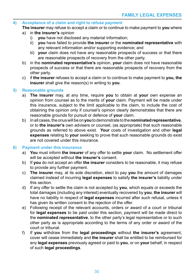### **4) Acceptance of a claim and right to refuse payment**

- **The insurer** may refuse to accept a claim or to continue to make payment to **you** where
- a) in **the insurer's** opinion
	- i) **you** have not disclosed any material information;
	- ii) **you** have failed to provide **the insurer** or the **nominated representative** with any relevant information and/or supporting evidence; and
	- iii) **your** claim does not have any reasonable prospects of success or that there are reasonable prospects of recovery from the other party.
- b) in the **nominated representative's** opinion, **your** claim does not have reasonable prospects of success or that there are reasonable prospects of recovery from the other party.
- c) if **the insurer** refuses to accept a claim or to continue to make payment to **you, the insurer** shall give the reason(s) in writing to **you**.

### **5) Reasonable grounds**

- a) **The insurer** may, at any time, require **you** to obtain at **your** own expense an opinion from counsel as to the merits of **your** claim. Payment will be made under this insurance, subject to the limit applicable to the claim, to include the cost of obtaining the opinion only if counsel's opinion clearly demonstrates that there are reasonable grounds for pursuit or defence of **your** claim.
- b) In all cases, the onus will be on **you** to demonstrate to the **nominated representative**, or to **the insurer's** own advisers or counsel, (as appropriate) that such reasonable grounds as referred to above exist. **Your** costs of investigation and other **legal expenses** relating to **your** seeking to prove that such reasonable grounds do exist are not covered under this insurance.

### **6) Payment under this insurance**

- a) **You** must inform **the insurer** of any offer to settle **your** claim. No settlement offer will be accepted without **the insurer's** consent.
- b) If **you** do not accept an offer **the insurer** considers to be reasonable, it may refuse to provide any further payment.
- c) **The insurer** may, at its sole discretion, elect to pay **you** the amount of damages claimed instead of incurring **legal expenses** to satisfy **the insurer's** liability under this section.
- d) If any offer to settle the claim is not accepted by **you**, which equals or exceeds the total damages (including any interest) eventually recovered by **you**, **the insurer** will have no liability in respect of **legal expenses** incurred after such refusal, unless it has given its written consent to the rejection of the offer.
- e) Following receipt of the relevant accounts, orders or award of a court or tribunal for **legal expenses** to be paid under this section, payment will be made direct to the **nominated representative**, to the other party's legal representative or to such other party as is appropriate according to the terms of any order or award of the court or tribunal.
- f) If **you** withdraw from the **legal proceedings** without **the insurer's** agreement, cover will cease immediately and **the insurer** shall be entitled to be reimbursed for any **legal expenses** previously agreed or paid to **you**, or on **your** behalf, in respect of such **legal proceedings**.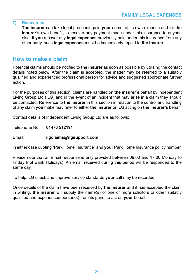### **7) Recoveries**

**The insurer** can take legal proceedings in **your** name, at its own expense and for **the insurer's** own benefit, to recover any payment made under this insurance to anyone else. If **you** recover any **legal expenses** previously paid under this insurance from any other party, such **legal expenses** must be immediately repaid to **the insurer**.

### **How to make a claim**

Potential claims should be notified to **the insurer** as soon as possible by utilising the contact details noted below. After the claim is accepted, the matter may be referred to a suitably qualified and experienced professional person for advice and suggested appropriate further action.

For the purposes of this section, claims are handled on **the insurer's** behalf by Independent Living Group Ltd (ILG) and in the event of an incident that may arise in a claim they should be contacted. Reference to **the insurer** in this section in relation to the control and handling of any claim **you** make may refer to either **the insurer** or ILG acting on **the insurer's** behalf.

Contact details of Independent Living Group Ltd are as follows:

Telephone No: **01476 512191**

### Email: **ilgclaims@ilgsupport.com**

in either case quoting "Park Home Insurance" and **your** Park Home Insurance policy number.

Please note that an email response is only provided between 09.00 and 17.00 Monday to Friday (not Bank Holidays). An email received during this period will be responded to the same day.

To help ILG check and improve service standards **your** call may be recorded.

Once details of the claim have been received by **the insurer** and it has accepted the claim in writing, **the insurer** will supply the name(s) of one or more solicitors or other suitably qualified and experienced person(s) from its panel to act on **your** behalf.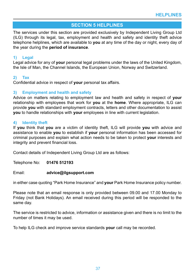### **SECTION 5 HELPLINES**

The services under this section are provided exclusively by Independent Living Group Ltd (ILG) through its legal, tax, employment and health and safety and identity theft advice telephone helplines, which are available to **you** at any time of the day or night, every day of the year during the **period of insurance**.

### **1) Legal**

Legal advice for any of **your** personal legal problems under the laws of the United Kingdom, the Isle of Man, the Channel Islands, the European Union, Norway and Switzerland.

### **2) Tax**

Confidential advice in respect of **your** personal tax affairs.

### **3) Employment and health and safety**

Advice on matters relating to employment law and health and safety in respect of **your** relationship with employees that work for **you** at the **home**. Where appropriate, ILG can provide **you** with standard employment contracts, letters and other documentation to assist **you** to handle relationships with **your** employees in line with current legislation.

### **4) Identity theft**

If **you** think that **you** are a victim of identity theft, ILG will provide **you** with advice and assistance to enable **you** to establish if **your** personal information has been accessed for criminal purposes and explain what action needs to be taken to protect **your** interests and integrity and prevent financial loss.

Contact details of Independent Living Group Ltd are as follows:

Telephone No: **01476 512193** 

Email: **advice@ilgsupport.com**

in either case quoting "Park Home Insurance" and **your** Park Home Insurance policy number.

Please note that an email response is only provided between 09.00 and 17.00 Monday to Friday (not Bank Holidays). An email received during this period will be responded to the same day.

The service is restricted to advice, information or assistance given and there is no limit to the number of times it may be used.

To help ILG check and improve service standards **your** call may be recorded.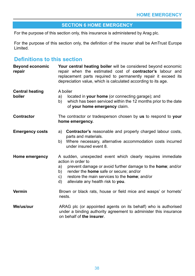### **SECTION 6 HOME EMERGENCY**

For the purpose of this section only, this insurance is administered by Arag plc.

For the purpose of this section only, the definition of the insurer shall be AmTrust Europe Limited.

### **Definitions to this section**

| <b>Beyond economic</b><br>repair | Your central heating boiler will be considered beyond economic<br>repair when the estimated cost of contractor's labour and<br>replacement parts required to permanently repair it exceed its<br>depreciation value, which is calculated according to its age.                                                 |
|----------------------------------|----------------------------------------------------------------------------------------------------------------------------------------------------------------------------------------------------------------------------------------------------------------------------------------------------------------|
| <b>Central heating</b><br>boiler | A boiler<br>located in your home (or connecting garage); and<br>a)<br>which has been serviced within the 12 months prior to the date<br>b)<br>of your home emergency claim.                                                                                                                                    |
| <b>Contractor</b>                | The contractor or tradesperson chosen by us to respond to your<br>home emergency.                                                                                                                                                                                                                              |
| <b>Emergency costs</b>           | <b>Contractor's</b> reasonable and properly charged labour costs,<br>a)<br>parts and materials.<br>b) Where necessary, alternative accommodation costs incurred<br>under insured event 8.                                                                                                                      |
| Home emergency                   | A sudden, unexpected event which clearly requires immediate<br>action in order to<br>prevent damage or avoid further damage to the home; and/or<br>a)<br>render the <b>home</b> safe or secure; and/or<br>b)<br>restore the main services to the home; and/or<br>C)<br>alleviate any health risk to you.<br>d) |
| Vermin                           | Brown or black rats, house or field mice and wasps' or hornets'<br>nests.                                                                                                                                                                                                                                      |
| We/us/our                        | ARAG plc (or appointed agents on its behalf) who is authorised<br>under a binding authority agreement to administer this insurance                                                                                                                                                                             |

on behalf of **the insurer**.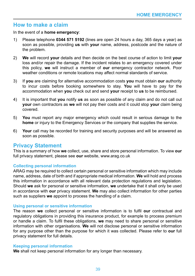### **How to make a claim**

In the event of a **home emergency**:

- 1) Please telephone **0344 571 5192** (lines are open 24 hours a day, 365 days a year) as soon as possible, providing **us** with **your** name, address, postcode and the nature of the problem.
- 2) **We** will record **your** details and then decide on the best course of action to limit **your** loss and/or repair the damage. If the incident relates to an emergency covered under this policy, **we** will instruct a member of **our** emergency contractor network. Poor weather conditions or remote locations may affect normal standards of service.
- 3) If **you** are claiming for alternative accommodation costs **you** must obtain **our** authority to incur costs before booking somewhere to stay. **You** will have to pay for the accommodation when **you** check out and send **your** receipt to **us** to be reimbursed.
- 4) It is important that **you** notify **us** as soon as possible of any claim and do not call out **your** own contractors as **we** will not pay their costs and it could stop **your** claim being covered.
- 5) **You** must report any major emergency which could result in serious damage to the **home** or injury to the Emergency Services or the company that supplies the service.
- 6) **Your** call may be recorded for training and security purposes and will be answered as soon as possible.

### **Privacy Statement**

This is a summary of how **we** collect, use, share and store personal information. To view **our** full privacy statement, please see **our** website, www.arag.co.uk

### **Collecting personal information**

ARAG may be required to collect certain personal or sensitive information which may include name, address, date of birth and if appropriate medical information. **We** will hold and process this information in accordance with all relevant data protection regulations and legislation. Should **we** ask for personal or sensitive information, **we** undertake that it shall only be used in accordance with **our** privacy statement. **We** may also collect information for other parties such as suppliers **we** appoint to process the handling of a claim.

### **Using personal or sensitive information**

The reason **we** collect personal or sensitive information is to fulfil **our** contractual and regulatory obligations in providing this insurance product, for example to process premium or handle a claim. To fulfil these obligations, **we** may need to share personal or sensitive information with other organisations. **We** will not disclose personal or sensitive information for any purpose other than the purpose for which it was collected. Please refer to **our** full privacy statement for full details.

### **Keeping personal information**

**We** shall not keep personal information for any longer than necessary.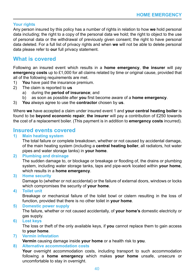### **Your rights**

Any person insured by this policy has a number of rights in relation to how **we** hold personal data including; the right to a copy of the personal data we hold; the right to object to the use of personal data or the withdrawal of previously given consent; the right to have personal data deleted. For a full list of privacy rights and when **we** will not be able to delete personal data please refer to **our** full privacy statement.

### **What is covered**

Following an insured event which results in a **home emergency**, **the insurer** will pay **emergency costs** up to £1,000 for all claims related by time or original cause, provided that all of the following requirements are met.

- 1) **You** have paid the insurance premium.
- 2) The claim is reported to **us**
	- a) during the **period of insurance**; and
	- b) as soon as possible after **you** first become aware of a **home emergency**.
- 3) **You** always agree to use the **contractor** chosen by **us**.

Where **we** have accepted a claim under insured event 1 and **your central heating boiler** is found to be **beyond economic repair**, **the insurer** will pay a contribution of £250 towards the cost of a replacement boiler. (This payment is in addition to **emergency costs** incurred).

# **Insured events covered**<br>1) Main heating system

### **1) Main heating system**

The total failure or complete breakdown, whether or not caused by accidental damage, of the main heating system (including a **central heating boiler**, all radiators, hot water pipes and water storage tanks) in **your home**.

### **2) Plumbing and drainage**

The sudden damage to, or blockage or breakage or flooding of, the drains or plumbing system, including water storage tanks, taps and pipe-work located within **your home**, which results in a **home emergency**.

**3) Home security**

Damage to (whether or not accidental) or the failure of external doors, windows or locks which compromises the security of **your home**.

### **4) Toilet unit**

Breakage or mechanical failure of the toilet bowl or cistern resulting in the loss of function, provided that there is no other toilet in **your home**.

### **5) Domestic power supply**

The failure, whether or not caused accidentally, of **your home's** domestic electricity or gas supply.

**6) Lost keys**

The loss or theft of the only available keys, if **you** cannot replace them to gain access to **your home**.

**7) Vermin infestation**

**Vermin** causing damage inside **your home** or a health risk to **you**.

### **8) Alternative accommodation costs**

**Your** overnight accommodation costs, including transport to such accommodation following a **home emergency** which makes **your home** unsafe, unsecure or uncomfortable to stay in overnight.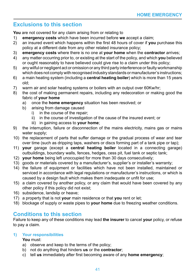### **Exclusions to this section**

**You** are not covered for any claim arising from or relating to

- 1) **emergency costs** which have been incurred before **we** accept a claim;
- 2) an insured event which happens within the first 48 hours of cover if **you** purchase this policy at a different date from any other related insurance policy;
- 3) **emergency costs** where there is no one at **your home** when the **contractor** arrives;
- 4) any matter occurring prior to, or existing at the start of the policy, and which **you** believed or ought reasonably to have believed could give rise to a claim under this policy;
- 5) any wilful or negligent act or omission or any third party interference or faulty workmanship which does not comply with recognised industry standards or manufacturer's instructions;
- 6) a main heating system (including a **central heating boiler**) which is more than 15 years old;
- 7) warm air and solar heating systems or boilers with an output over 60Kw/hr;
- 8) the cost of making permanent repairs, including any redecoration or making good the fabric of **your home**
	- a) once the **home emergency** situation has been resolved; or
	- b) arising from damage caused
		- i) in the course of the repair;
		- ii) in the course of investigation of the cause of the insured event; or
		- iii) in gaining access to **your home**;
- 9) the interruption, failure or disconnection of the mains electricity, mains gas or mains water supply;
- 10) the replacement of parts that suffer damage or the gradual process of wear and tear over time (such as dripping taps, washers or discs forming part of a tank pipe or tap);
- 11) **your** garage (except a **central heating boiler** located in a connecting garage) outbuildings, boundary walls, fences, hedges, cess pit, fuel tank or septic tank;
- 12) **your home** being left unoccupied for more than 30 days consecutively;
- 13) goods or materials covered by a manufacturer's, supplier's or installer's warranty;
- 14) the failure of equipment or facilities which have not been installed, maintained or serviced in accordance with legal regulations or manufacturer's instructions, or which is caused by a design fault which makes them inadequate or unfit for use;
- 15) a claim covered by another policy, or any claim that would have been covered by any other policy if this policy did not exist;
- 16) subsidence, landslip or heave;
- 17) a property that is not **your** main residence or that **you** rent or let;
- 18) blockage of supply or waste pipes to **your home** due to freezing weather conditions.

### **Conditions to this section**

Failure to keep any of these conditions may lead **the insurer** to cancel **your** policy, or refuse to pay a claim.

### **1) Your responsibilities**

**You** must:

- a) observe and keep to the terms of the policy;
- b) not do anything that hinders **us** or the **contractor**;
- c) tell **us** immediately after first becoming aware of any **home emergency**;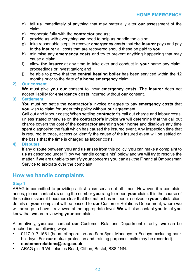- d) tell **us** immediately of anything that may materially alter **our** assessment of the claim;
- e) cooperate fully with the **contractor** and **us**;
- f) provide **us** with everything **we** need to help **us** handle the claim;
- g) take reasonable steps to recover **emergency costs** that **the insurer** pays and pay to **the insurer** all costs that are recovered should these be paid to **you**;
- h) minimise any **emergency costs** and try to prevent anything happening that may cause a claim;
- i) allow **the insurer** at any time to take over and conduct in **your** name any claim, proceedings or investigation; and
- j) be able to prove that the **central heating boiler** has been serviced within the 12 months prior to the date of a **home emergency** claim.

### **2) Our consent**

**We** must give **you our** consent to incur **emergency costs**. **The insurer** does not accept liability for **emergency costs** incurred without **our** consent.

### **3) Settlement**

**You** must not settle the **contractor's** invoice or agree to pay **emergency costs** that **you** wish to claim for under this policy without **our** agreement.

Call out and labour costs; When settling **contractor's** call out charge and labour costs, unless stated otherwise on the **contractor's** invoice **we** will determine that the call out charge covers the cost of the **contractor** attending **your home** and disallows any time spent diagnosing the fault which has caused the insured event. Any inspection time that is required to trace, access or identify the cause of the insured event will be settled on the basis that the time is charged as labour costs.

### **4) Disputes**

If any dispute between **you** and **us** arises from this policy, **you** can make a complaint to **us** as described under "How we handle complaints" below and **we** will try to resolve the matter. If **we** are unable to satisfy **your** concerns **you** can ask the Financial Ombudsman Service to arbitrate over the complaint.

### **How we handle complaints**

### **Step 1**

ARAG is committed to providing a first class service at all times. However, if a complaint arises, please contact **us** using the number **you** rang to report **your** claim. If in the course of those discussions it becomes clear that the matter has not been resolved to **your** satisfaction, details of **your** complaint will be passed to **our** Customer Relations Department, where **we** will arrange to have it reviewed at the appropriate level. **We** will also contact **you** to let **you** know that **we** are reviewing **your** complaint.

Alternatively, **you** can contact **our** Customer Relations Department directly; **we** can be reached in the following ways:

- 0117 917 1561 (hours of operation are 9am-5pm, Mondays to Fridays excluding bank holidays. For **our** mutual protection and training purposes, calls may be recorded).
- **• customerrelations@arag.co.uk**
- ARAG plc, 9 Whiteladies Road, Clifton, Bristol, BS8 1NN.